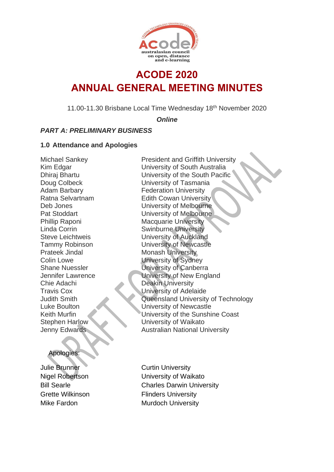

## **ACODE 2020 ANNUAL GENERAL MEETING MINUTES**

11.00-11.30 Brisbane Local Time Wednesday 18th November 2020

*Online*

## *PART A: PRELIMINARY BUSINESS*

#### **1.0 Attendance and Apologies**

Prateek Jindal Monash University Chie Adachi Deakin University

#### Apologies:

Julie Brunner Curtin University

Michael Sankey **President and Griffith University** Kim Edgar **University of South Australia** Dhiraj Bhartu University of the South Pacific Doug Colbeck University of Tasmania Adam Barbary **Federation University** Ratna Selvartnam Edith Cowan University Deb Jones University of Melbourne Pat Stoddart **University of Melbourne** Phillip Raponi Macquarie University Linda Corrin Swinburne University Steve Leichtweis University of Auckland Tammy Robinson University of Newcastle Colin Lowe University of Sydney Shane Nuessler **University of Canberra** Jennifer Lawrence University of New England Travis Cox University of Adelaide Judith Smith Queensland University of Technology Luke Boulton University of Newcastle Keith Murfin **University of the Sunshine Coast** Stephen Harlow University of Waikato **Jenny Edwards Australian National University** 

Nigel Robertson University of Waikato Bill Searle Charles Darwin University Grette Wilkinson Flinders University Mike Fardon Murdoch University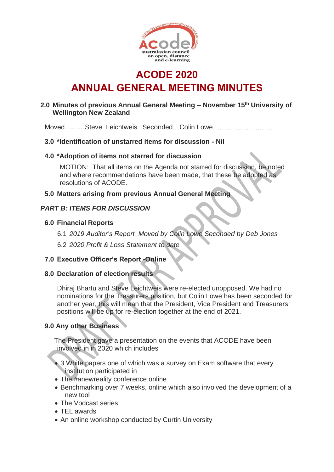

**ACODE 2020 ANNUAL GENERAL MEETING MINUTES**

## **2.0 Minutes of previous Annual General Meeting – November 15 th University of Wellington New Zealand**

Moved………Steve Leichtweis Seconded…Colin Lowe………………….…….

#### **3.0 \*Identification of unstarred items for discussion - Nil**

#### **4.0 \*Adoption of items not starred for discussion**

MOTION: That all items on the Agenda not starred for discussion, be noted and where recommendations have been made, that these be adopted as resolutions of ACODE.

#### **5.0 Matters arising from previous Annual General Meeting**

## *PART B: ITEMS FOR DISCUSSION*

#### **6.0 Financial Reports**

6.1 *2019 Auditor's Report Moved by Colin Lowe Seconded by Deb Jones*

6.2 *2020 Profit & Loss Statement to date* 

## **7.0 Executive Officer's Report -Online**

#### **8.0 Declaration of election results**

Dhiraj Bhartu and Steve Leichtweis were re-elected unopposed. We had no nominations for the Treasurers position, but Colin Lowe has been seconded for another year, this will mean that the President, Vice President and Treasurers positions will be up for re-election together at the end of 2021.

## **9.0 Any other Business**

The President gave a presentation on the events that ACODE have been involved in in 2020 which includes

- 3 White papers one of which was a survey on Exam software that every institution participated in
- The #anewreality conference online
- Benchmarking over 7 weeks, online which also involved the development of a new tool
- The Vodcast series
- TEL awards
- An online workshop conducted by Curtin University